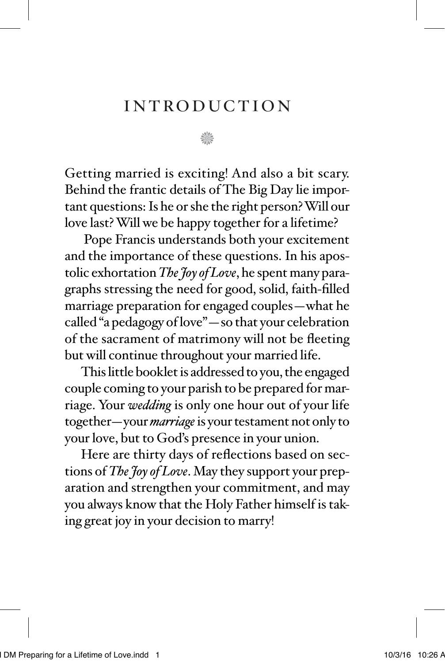### introduction

n

Getting married is exciting! And also a bit scary. Behind the frantic details of The Big Day lie important questions: Is he or she the right person? Will our love last? Will we be happy together for a lifetime?

 Pope Francis understands both your excitement and the importance of these questions. In his apostolic exhortation *The Joy of Love*, he spent many paragraphs stressing the need for good, solid, faith-filled marriage preparation for engaged couples—what he called "a pedagogy of love"—so that your celebration of the sacrament of matrimony will not be fleeting but will continue throughout your married life.

This little booklet is addressed to you, the engaged couple coming to your parish to be prepared for marriage. Your *wedding* is only one hour out of your life together—your *marriage* is your testament not only to your love, but to God's presence in your union.

Here are thirty days of reflections based on sections of *The Joy of Love*. May they support your preparation and strengthen your commitment, and may you always know that the Holy Father himself is taking great joy in your decision to marry!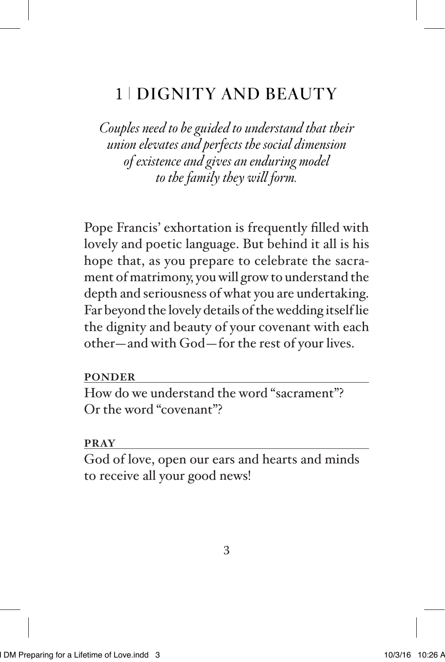## 1 DIGNITY AND BEAUTY

*Couples need to be guided to understand that their union elevates and perfects the social dimension of existence and gives an enduring model to the family they will form.* 

Pope Francis' exhortation is frequently filled with lovely and poetic language. But behind it all is his hope that, as you prepare to celebrate the sacrament of matrimony, you will grow to understand the depth and seriousness of what you are undertaking. Far beyond the lovely details of the wedding itself lie the dignity and beauty of your covenant with each other—and with God—for the rest of your lives.

#### **PONDER**

How do we understand the word "sacrament"? Or the word "covenant"?

#### **PRAY**

God of love, open our ears and hearts and minds to receive all your good news!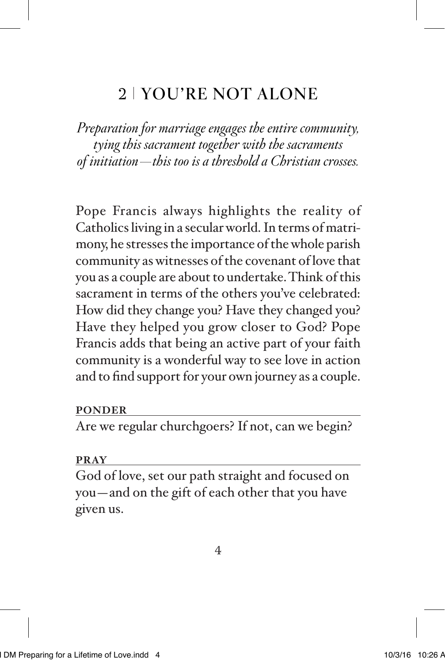## 2 YOU'RE NOT ALONE

*Preparation for marriage engages the entire community, tying this sacrament together with the sacraments of initiation—this too is a threshold a Christian crosses.* 

Pope Francis always highlights the reality of Catholics living in a secular world. In terms of matrimony, he stresses the importance of the whole parish community as witnesses of the covenant of love that you as a couple are about to undertake. Think of this sacrament in terms of the others you've celebrated: How did they change you? Have they changed you? Have they helped you grow closer to God? Pope Francis adds that being an active part of your faith community is a wonderful way to see love in action and to find support for your own journey as a couple.

#### **PONDER**

Are we regular churchgoers? If not, can we begin?

#### **PRAY**

God of love, set our path straight and focused on you—and on the gift of each other that you have given us.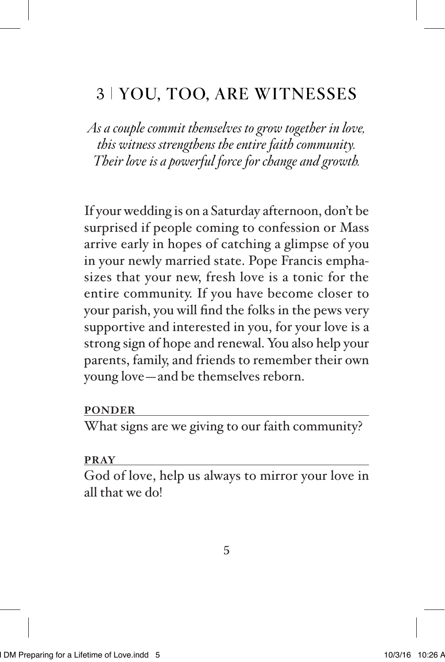### 3 YOU, TOO, ARE WITNESSES

*As a couple commit themselves to grow together in love, this witness strengthens the entire faith community. Their love is a powerful force for change and growth.*

If your wedding is on a Saturday afternoon, don't be surprised if people coming to confession or Mass arrive early in hopes of catching a glimpse of you in your newly married state. Pope Francis emphasizes that your new, fresh love is a tonic for the entire community. If you have become closer to your parish, you will find the folks in the pews very supportive and interested in you, for your love is a strong sign of hope and renewal. You also help your parents, family, and friends to remember their own young love—and be themselves reborn.

#### **PONDER**

What signs are we giving to our faith community?

#### **PRAY**

God of love, help us always to mirror your love in all that we do!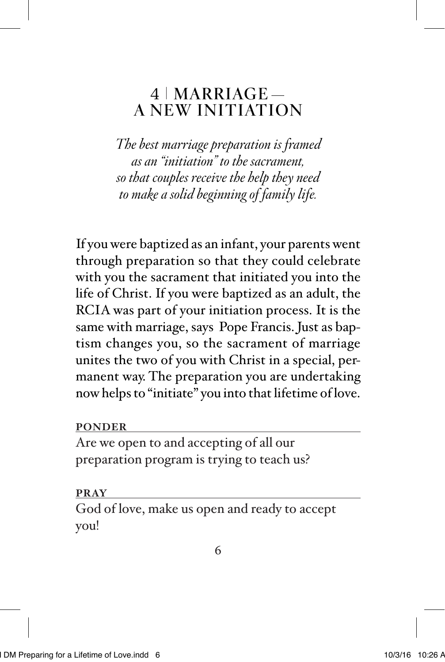### $4$  | MARRIAGE — A NEW INITIATION

*The best marriage preparation is framed as an "initiation" to the sacrament, so that couples receive the help they need to make a solid beginning of family life.*

If you were baptized as an infant, your parents went through preparation so that they could celebrate with you the sacrament that initiated you into the life of Christ. If you were baptized as an adult, the RCIA was part of your initiation process. It is the same with marriage, says Pope Francis. Just as baptism changes you, so the sacrament of marriage unites the two of you with Christ in a special, permanent way. The preparation you are undertaking now helps to "initiate" you into that lifetime of love.

### **PONDER**

Are we open to and accepting of all our preparation program is trying to teach us?

#### **PRAY**

God of love, make us open and ready to accept you!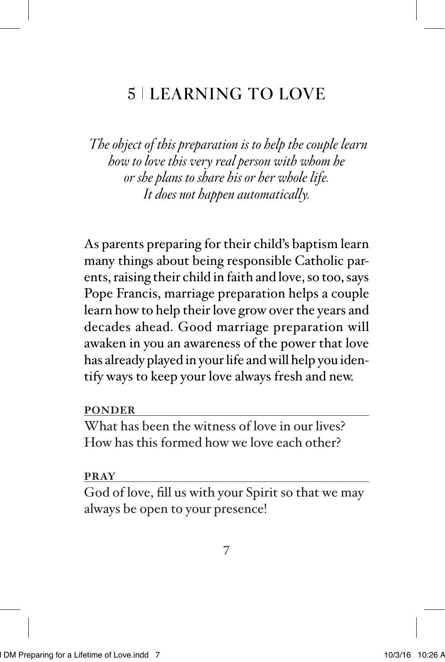## 5 LEARNING TO LOVE

 *The object of this preparation is to help the couple learn how to love this very real person with whom he or she plans to share his or her whole life. It does not happen automatically.*

As parents preparing for their child's baptism learn many things about being responsible Catholic parents, raising their child in faith and love, so too, says Pope Francis, marriage preparation helps a couple learn how to help their love grow over the years and decades ahead. Good marriage preparation will awaken in you an awareness of the power that love has already played in your life and will help you identify ways to keep your love always fresh and new.

**PONDER**

What has been the witness of love in our lives? How has this formed how we love each other?

#### **PRAY**

God of love, fill us with your Spirit so that we may always be open to your presence!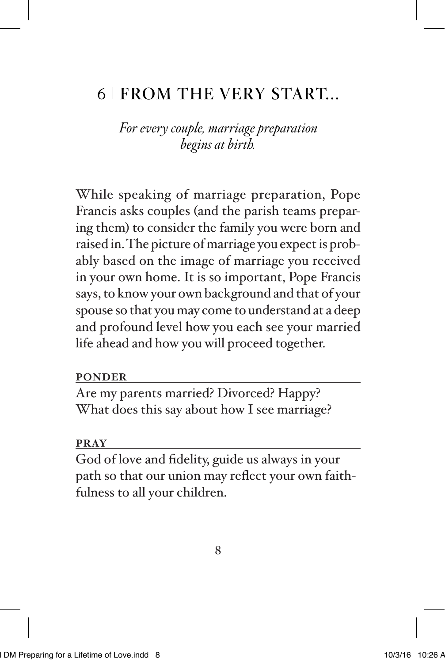### 6 FROM THE VERY START...

*For every couple, marriage preparation begins at birth.*

While speaking of marriage preparation, Pope Francis asks couples (and the parish teams preparing them) to consider the family you were born and raised in. The picture of marriage you expect is probably based on the image of marriage you received in your own home. It is so important, Pope Francis says, to know your own background and that of your spouse so that you may come to understand at a deep and profound level how you each see your married life ahead and how you will proceed together.

#### **PONDER**

Are my parents married? Divorced? Happy? What does this say about how I see marriage?

#### **PRAY**

God of love and fidelity, guide us always in your path so that our union may reflect your own faithfulness to all your children.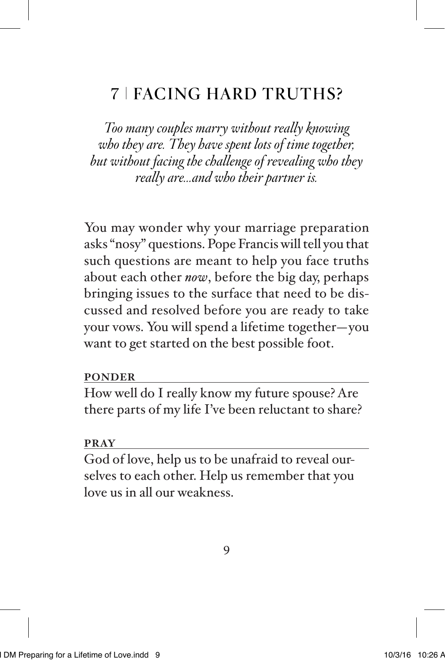## 7 FACING HARD TRUTHS?

*Too many couples marry without really knowing who they are. They have spent lots of time together, but without facing the challenge of revealing who they really are...and who their partner is.* 

You may wonder why your marriage preparation asks "nosy" questions. Pope Francis will tell you that such questions are meant to help you face truths about each other *now*, before the big day, perhaps bringing issues to the surface that need to be discussed and resolved before you are ready to take your vows. You will spend a lifetime together—you want to get started on the best possible foot.

#### **PONDER**

How well do I really know my future spouse? Are there parts of my life I've been reluctant to share?

#### **PRAY**

God of love, help us to be unafraid to reveal ourselves to each other. Help us remember that you love us in all our weakness.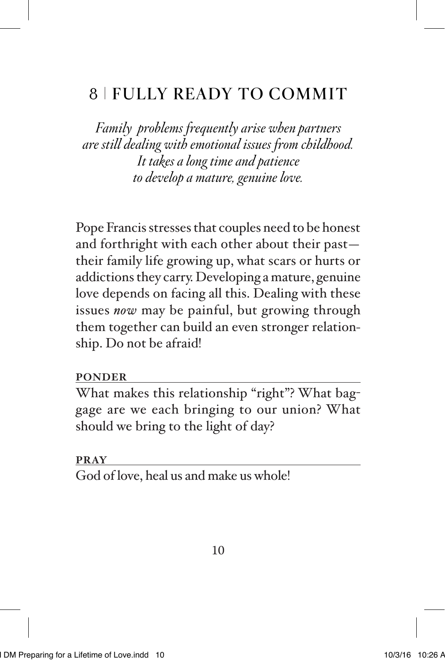## 8 FULLY READY TO COMMIT

*Family problems frequently arise when partners are still dealing with emotional issues from childhood. It takes a long time and patience to develop a mature, genuine love.*

Pope Francis stresses that couples need to be honest and forthright with each other about their past their family life growing up, what scars or hurts or addictions they carry. Developing a mature, genuine love depends on facing all this. Dealing with these issues *now* may be painful, but growing through them together can build an even stronger relationship. Do not be afraid!

### **PONDER**

What makes this relationship "right"? What baggage are we each bringing to our union? What should we bring to the light of day?

### **PRAY**

God of love, heal us and make us whole!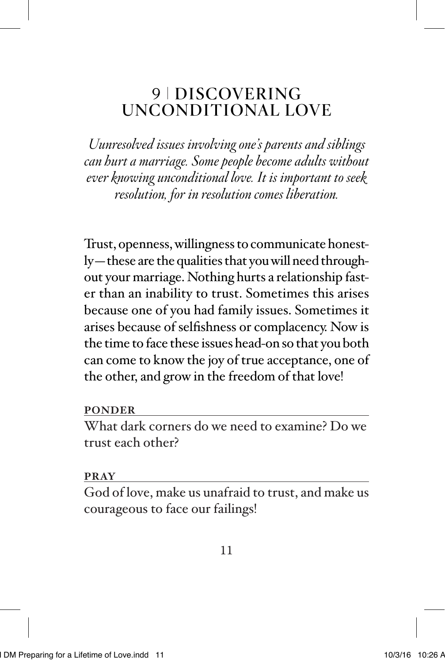### 9 | DISCOVERING UNCONDITIONAL LOVE

*Uunresolved issues involving one's parents and siblings can hurt a marriage. Some people become adults without ever knowing unconditional love. It is important to seek resolution, for in resolution comes liberation.*

Trust, openness, willingness to communicate honestly—these are the qualities that you will need throughout your marriage. Nothing hurts a relationship faster than an inability to trust. Sometimes this arises because one of you had family issues. Sometimes it arises because of selfishness or complacency. Now is the time to face these issues head-on so that you both can come to know the joy of true acceptance, one of the other, and grow in the freedom of that love!

#### **PONDER**

What dark corners do we need to examine? Do we trust each other?

#### **PRAY**

God of love, make us unafraid to trust, and make us courageous to face our failings!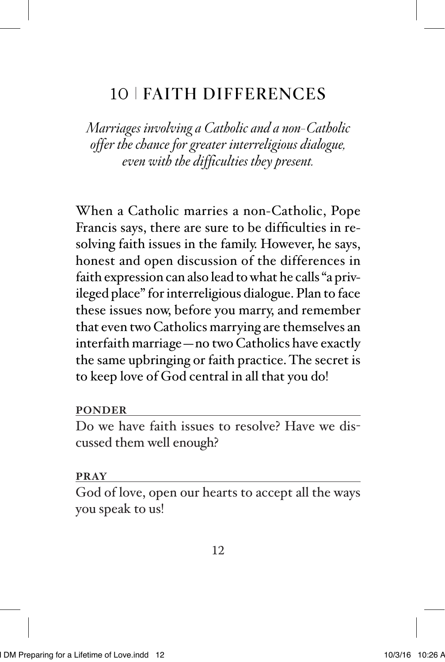## 10 FAITH DIFFERENCES

*Marriages involving a Catholic and a non-Catholic offer the chance for greater interreligious dialogue, even with the difficulties they present.*

When a Catholic marries a non-Catholic, Pope Francis says, there are sure to be difficulties in resolving faith issues in the family. However, he says, honest and open discussion of the differences in faith expression can also lead to what he calls "a privileged place" for interreligious dialogue. Plan to face these issues now, before you marry, and remember that even two Catholics marrying are themselves an interfaith marriage—no two Catholics have exactly the same upbringing or faith practice. The secret is to keep love of God central in all that you do!

**PONDER**

Do we have faith issues to resolve? Have we discussed them well enough?

#### **PRAY**

God of love, open our hearts to accept all the ways you speak to us!